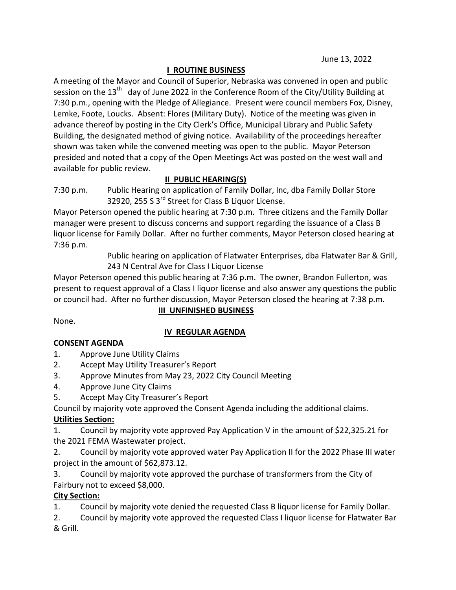## I ROUTINE BUSINESS

A meeting of the Mayor and Council of Superior, Nebraska was convened in open and public session on the  $13<sup>th</sup>$  day of June 2022 in the Conference Room of the City/Utility Building at 7:30 p.m., opening with the Pledge of Allegiance. Present were council members Fox, Disney, Lemke, Foote, Loucks. Absent: Flores (Military Duty). Notice of the meeting was given in advance thereof by posting in the City Clerk's Office, Municipal Library and Public Safety Building, the designated method of giving notice. Availability of the proceedings hereafter shown was taken while the convened meeting was open to the public. Mayor Peterson presided and noted that a copy of the Open Meetings Act was posted on the west wall and available for public review.

# II PUBLIC HEARING(S)

7:30 p.m. Public Hearing on application of Family Dollar, Inc, dba Family Dollar Store 32920, 255 S 3<sup>rd</sup> Street for Class B Liquor License.

Mayor Peterson opened the public hearing at 7:30 p.m. Three citizens and the Family Dollar manager were present to discuss concerns and support regarding the issuance of a Class B liquor license for Family Dollar. After no further comments, Mayor Peterson closed hearing at 7:36 p.m.

> Public hearing on application of Flatwater Enterprises, dba Flatwater Bar & Grill, 243 N Central Ave for Class I Liquor License

Mayor Peterson opened this public hearing at 7:36 p.m. The owner, Brandon Fullerton, was present to request approval of a Class I liquor license and also answer any questions the public or council had. After no further discussion, Mayor Peterson closed the hearing at 7:38 p.m.

# III UNFINISHED BUSINESS

None.

### IV REGULAR AGENDA

### CONSENT AGENDA

- 1. Approve June Utility Claims
- 2. Accept May Utility Treasurer's Report
- 3. Approve Minutes from May 23, 2022 City Council Meeting
- 4. Approve June City Claims
- 5. Accept May City Treasurer's Report

Council by majority vote approved the Consent Agenda including the additional claims.

### Utilities Section:

1. Council by majority vote approved Pay Application V in the amount of \$22,325.21 for the 2021 FEMA Wastewater project.

2. Council by majority vote approved water Pay Application II for the 2022 Phase III water project in the amount of \$62,873.12.

3. Council by majority vote approved the purchase of transformers from the City of Fairbury not to exceed \$8,000.

# City Section:

1. Council by majority vote denied the requested Class B liquor license for Family Dollar.

2. Council by majority vote approved the requested Class I liquor license for Flatwater Bar & Grill.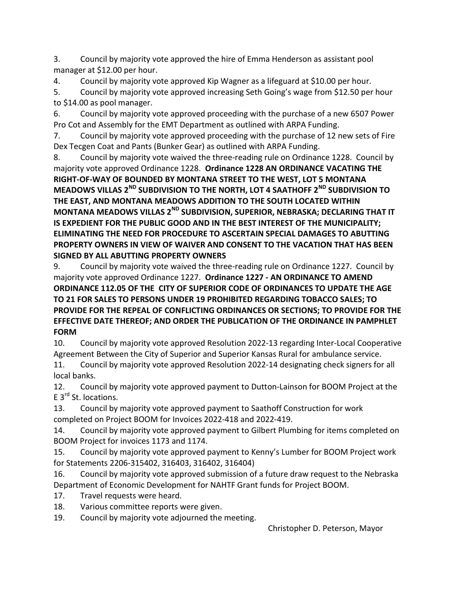3. Council by majority vote approved the hire of Emma Henderson as assistant pool manager at \$12.00 per hour.

4. Council by majority vote approved Kip Wagner as a lifeguard at \$10.00 per hour.

5. Council by majority vote approved increasing Seth Going's wage from \$12.50 per hour to \$14.00 as pool manager.

6. Council by majority vote approved proceeding with the purchase of a new 6507 Power Pro Cot and Assembly for the EMT Department as outlined with ARPA Funding.

7. Council by majority vote approved proceeding with the purchase of 12 new sets of Fire Dex Tecgen Coat and Pants (Bunker Gear) as outlined with ARPA Funding.

8. Council by majority vote waived the three-reading rule on Ordinance 1228. Council by majority vote approved Ordinance 1228. Ordinance 1228 AN ORDINANCE VACATING THE RIGHT-OF-WAY OF BOUNDED BY MONTANA STREET TO THE WEST, LOT 5 MONTANA MEADOWS VILLAS 2<sup>ND</sup> SUBDIVISION TO THE NORTH, LOT 4 SAATHOFF 2<sup>ND</sup> SUBDIVISION TO THE EAST, AND MONTANA MEADOWS ADDITION TO THE SOUTH LOCATED WITHIN MONTANA MEADOWS VILLAS 2<sup>ND</sup> SUBDIVISION, SUPERIOR, NEBRASKA; DECLARING THAT IT IS EXPEDIENT FOR THE PUBLIC GOOD AND IN THE BEST INTEREST OF THE MUNICIPALITY; ELIMINATING THE NEED FOR PROCEDURE TO ASCERTAIN SPECIAL DAMAGES TO ABUTTING PROPERTY OWNERS IN VIEW OF WAIVER AND CONSENT TO THE VACATION THAT HAS BEEN SIGNED BY ALL ABUTTING PROPERTY OWNERS

9. Council by majority vote waived the three-reading rule on Ordinance 1227. Council by majority vote approved Ordinance 1227. Ordinance 1227 - AN ORDINANCE TO AMEND ORDINANCE 112.05 OF THE CITY OF SUPERIOR CODE OF ORDINANCES TO UPDATE THE AGE TO 21 FOR SALES TO PERSONS UNDER 19 PROHIBITED REGARDING TOBACCO SALES; TO PROVIDE FOR THE REPEAL OF CONFLICTING ORDINANCES OR SECTIONS; TO PROVIDE FOR THE EFFECTIVE DATE THEREOF; AND ORDER THE PUBLICATION OF THE ORDINANCE IN PAMPHLET FORM

10. Council by majority vote approved Resolution 2022-13 regarding Inter-Local Cooperative Agreement Between the City of Superior and Superior Kansas Rural for ambulance service.

11. Council by majority vote approved Resolution 2022-14 designating check signers for all local banks.

12. Council by majority vote approved payment to Dutton-Lainson for BOOM Project at the E 3<sup>rd</sup> St. locations.

13. Council by majority vote approved payment to Saathoff Construction for work completed on Project BOOM for Invoices 2022-418 and 2022-419.

14. Council by majority vote approved payment to Gilbert Plumbing for items completed on BOOM Project for invoices 1173 and 1174.

15. Council by majority vote approved payment to Kenny's Lumber for BOOM Project work for Statements 2206-315402, 316403, 316402, 316404)

16. Council by majority vote approved submission of a future draw request to the Nebraska Department of Economic Development for NAHTF Grant funds for Project BOOM.

17. Travel requests were heard.

18. Various committee reports were given.

19. Council by majority vote adjourned the meeting.

Christopher D. Peterson, Mayor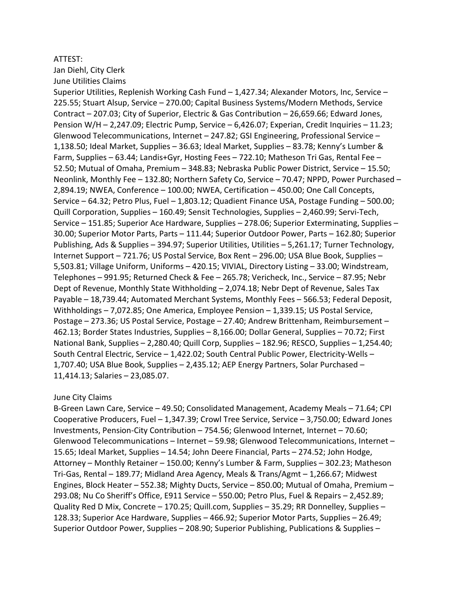#### ATTEST:

Jan Diehl, City Clerk June Utilities Claims

Superior Utilities, Replenish Working Cash Fund – 1,427.34; Alexander Motors, Inc, Service – 225.55; Stuart Alsup, Service – 270.00; Capital Business Systems/Modern Methods, Service Contract – 207.03; City of Superior, Electric & Gas Contribution – 26,659.66; Edward Jones, Pension W/H – 2,247.09; Electric Pump, Service – 6,426.07; Experian, Credit Inquiries – 11.23; Glenwood Telecommunications, Internet – 247.82; GSI Engineering, Professional Service – 1,138.50; Ideal Market, Supplies – 36.63; Ideal Market, Supplies – 83.78; Kenny's Lumber & Farm, Supplies – 63.44; Landis+Gyr, Hosting Fees – 722.10; Matheson Tri Gas, Rental Fee – 52.50; Mutual of Omaha, Premium – 348.83; Nebraska Public Power District, Service – 15.50; Neonlink, Monthly Fee – 132.80; Northern Safety Co, Service – 70.47; NPPD, Power Purchased – 2,894.19; NWEA, Conference – 100.00; NWEA, Certification – 450.00; One Call Concepts, Service – 64.32; Petro Plus, Fuel – 1,803.12; Quadient Finance USA, Postage Funding – 500.00; Quill Corporation, Supplies – 160.49; Sensit Technologies, Supplies – 2,460.99; Servi-Tech, Service – 151.85; Superior Ace Hardware, Supplies – 278.06; Superior Exterminating, Supplies – 30.00; Superior Motor Parts, Parts – 111.44; Superior Outdoor Power, Parts – 162.80; Superior Publishing, Ads & Supplies – 394.97; Superior Utilities, Utilities – 5,261.17; Turner Technology, Internet Support – 721.76; US Postal Service, Box Rent – 296.00; USA Blue Book, Supplies – 5,503.81; Village Uniform, Uniforms – 420.15; VIVIAL, Directory Listing – 33.00; Windstream, Telephones – 991.95; Returned Check & Fee – 265.78; Vericheck, Inc., Service – 87.95; Nebr Dept of Revenue, Monthly State Withholding – 2,074.18; Nebr Dept of Revenue, Sales Tax Payable – 18,739.44; Automated Merchant Systems, Monthly Fees – 566.53; Federal Deposit, Withholdings – 7,072.85; One America, Employee Pension – 1,339.15; US Postal Service, Postage – 273.36; US Postal Service, Postage – 27.40; Andrew Brittenham, Reimbursement – 462.13; Border States Industries, Supplies – 8,166.00; Dollar General, Supplies – 70.72; First National Bank, Supplies – 2,280.40; Quill Corp, Supplies – 182.96; RESCO, Supplies – 1,254.40; South Central Electric, Service – 1,422.02; South Central Public Power, Electricity-Wells – 1,707.40; USA Blue Book, Supplies – 2,435.12; AEP Energy Partners, Solar Purchased – 11,414.13; Salaries – 23,085.07.

#### June City Claims

B-Green Lawn Care, Service – 49.50; Consolidated Management, Academy Meals – 71.64; CPI Cooperative Producers, Fuel – 1,347.39; Crowl Tree Service, Service – 3,750.00; Edward Jones Investments, Pension-City Contribution – 754.56; Glenwood Internet, Internet – 70.60; Glenwood Telecommunications – Internet – 59.98; Glenwood Telecommunications, Internet – 15.65; Ideal Market, Supplies – 14.54; John Deere Financial, Parts – 274.52; John Hodge, Attorney – Monthly Retainer – 150.00; Kenny's Lumber & Farm, Supplies – 302.23; Matheson Tri-Gas, Rental – 189.77; Midland Area Agency, Meals & Trans/Agmt – 1,266.67; Midwest Engines, Block Heater – 552.38; Mighty Ducts, Service – 850.00; Mutual of Omaha, Premium – 293.08; Nu Co Sheriff's Office, E911 Service – 550.00; Petro Plus, Fuel & Repairs – 2,452.89; Quality Red D Mix, Concrete – 170.25; Quill.com, Supplies – 35.29; RR Donnelley, Supplies – 128.33; Superior Ace Hardware, Supplies – 466.92; Superior Motor Parts, Supplies – 26.49; Superior Outdoor Power, Supplies – 208.90; Superior Publishing, Publications & Supplies –